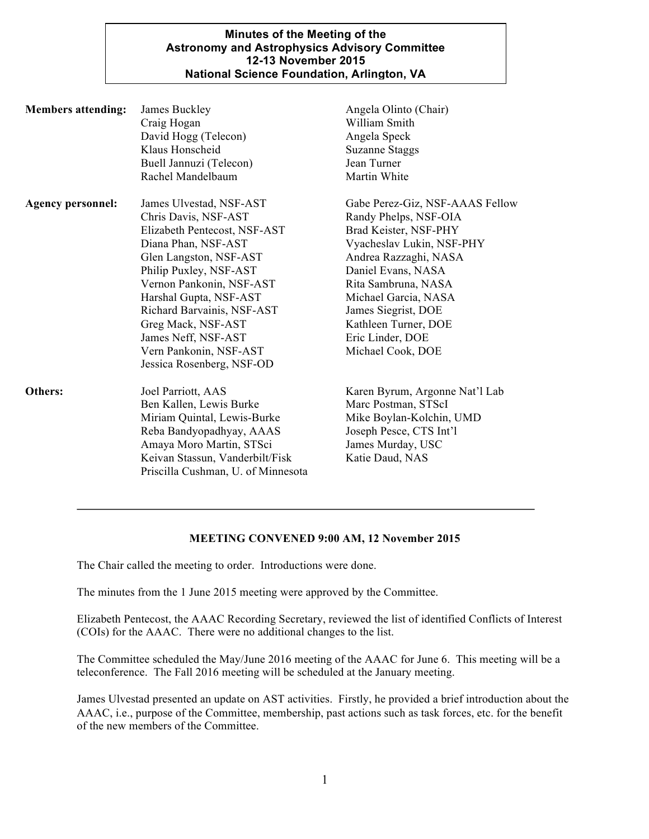## **Minutes of the Meeting of the Astronomy and Astrophysics Advisory Committee 12-13 November 2015 National Science Foundation, Arlington, VA**

| <b>Members attending:</b> | James Buckley<br>Craig Hogan<br>David Hogg (Telecon)<br>Klaus Honscheid<br>Buell Jannuzi (Telecon)<br>Rachel Mandelbaum                                                                                                                                                                                                                            | Angela Olinto (Chair)<br>William Smith<br>Angela Speck<br><b>Suzanne Staggs</b><br>Jean Turner<br>Martin White                                                                                                                                                                                       |
|---------------------------|----------------------------------------------------------------------------------------------------------------------------------------------------------------------------------------------------------------------------------------------------------------------------------------------------------------------------------------------------|------------------------------------------------------------------------------------------------------------------------------------------------------------------------------------------------------------------------------------------------------------------------------------------------------|
| <b>Agency personnel:</b>  | James Ulvestad, NSF-AST<br>Chris Davis, NSF-AST<br>Elizabeth Pentecost, NSF-AST<br>Diana Phan, NSF-AST<br>Glen Langston, NSF-AST<br>Philip Puxley, NSF-AST<br>Vernon Pankonin, NSF-AST<br>Harshal Gupta, NSF-AST<br>Richard Barvainis, NSF-AST<br>Greg Mack, NSF-AST<br>James Neff, NSF-AST<br>Vern Pankonin, NSF-AST<br>Jessica Rosenberg, NSF-OD | Gabe Perez-Giz, NSF-AAAS Fellow<br>Randy Phelps, NSF-OIA<br>Brad Keister, NSF-PHY<br>Vyacheslav Lukin, NSF-PHY<br>Andrea Razzaghi, NASA<br>Daniel Evans, NASA<br>Rita Sambruna, NASA<br>Michael Garcia, NASA<br>James Siegrist, DOE<br>Kathleen Turner, DOE<br>Eric Linder, DOE<br>Michael Cook, DOE |
| Others:                   | Joel Parriott, AAS<br>Ben Kallen, Lewis Burke<br>Miriam Quintal, Lewis-Burke<br>Reba Bandyopadhyay, AAAS<br>Amaya Moro Martin, STSci<br>Keivan Stassun, Vanderbilt/Fisk<br>Priscilla Cushman, U. of Minnesota                                                                                                                                      | Karen Byrum, Argonne Nat'l Lab<br>Marc Postman, STScI<br>Mike Boylan-Kolchin, UMD<br>Joseph Pesce, CTS Int'l<br>James Murday, USC<br>Katie Daud, NAS                                                                                                                                                 |

## **MEETING CONVENED 9:00 AM, 12 November 2015**

The Chair called the meeting to order. Introductions were done.

The minutes from the 1 June 2015 meeting were approved by the Committee.

Elizabeth Pentecost, the AAAC Recording Secretary, reviewed the list of identified Conflicts of Interest (COIs) for the AAAC. There were no additional changes to the list.

The Committee scheduled the May/June 2016 meeting of the AAAC for June 6. This meeting will be a teleconference. The Fall 2016 meeting will be scheduled at the January meeting.

James Ulvestad presented an update on AST activities. Firstly, he provided a brief introduction about the AAAC, i.e., purpose of the Committee, membership, past actions such as task forces, etc. for the benefit of the new members of the Committee.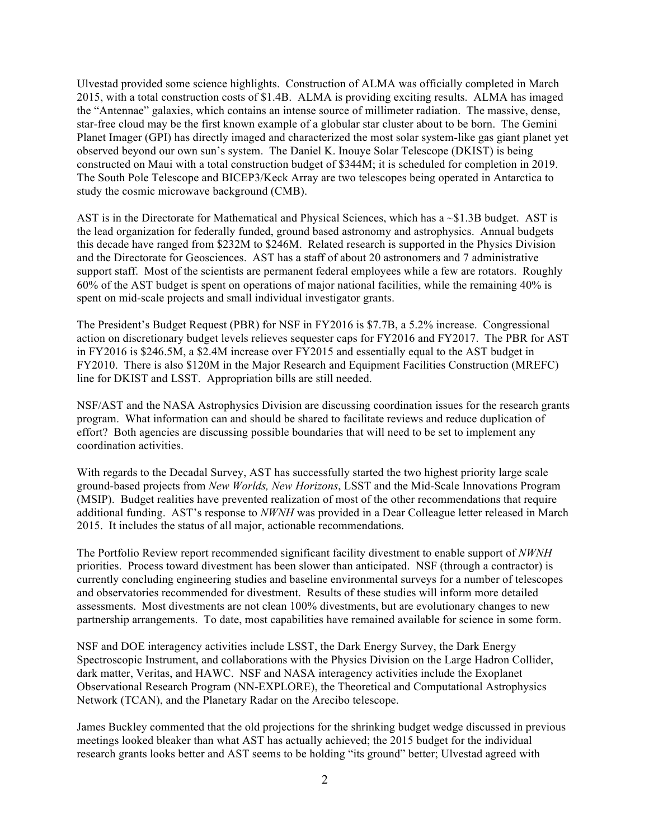Ulvestad provided some science highlights. Construction of ALMA was officially completed in March 2015, with a total construction costs of \$1.4B. ALMA is providing exciting results. ALMA has imaged the "Antennae" galaxies, which contains an intense source of millimeter radiation. The massive, dense, star-free cloud may be the first known example of a globular star cluster about to be born. The Gemini Planet Imager (GPI) has directly imaged and characterized the most solar system-like gas giant planet yet observed beyond our own sun's system. The Daniel K. Inouye Solar Telescope (DKIST) is being constructed on Maui with a total construction budget of \$344M; it is scheduled for completion in 2019. The South Pole Telescope and BICEP3/Keck Array are two telescopes being operated in Antarctica to study the cosmic microwave background (CMB).

AST is in the Directorate for Mathematical and Physical Sciences, which has a ~\$1.3B budget. AST is the lead organization for federally funded, ground based astronomy and astrophysics. Annual budgets this decade have ranged from \$232M to \$246M. Related research is supported in the Physics Division and the Directorate for Geosciences. AST has a staff of about 20 astronomers and 7 administrative support staff. Most of the scientists are permanent federal employees while a few are rotators. Roughly 60% of the AST budget is spent on operations of major national facilities, while the remaining 40% is spent on mid-scale projects and small individual investigator grants.

The President's Budget Request (PBR) for NSF in FY2016 is \$7.7B, a 5.2% increase. Congressional action on discretionary budget levels relieves sequester caps for FY2016 and FY2017. The PBR for AST in FY2016 is \$246.5M, a \$2.4M increase over FY2015 and essentially equal to the AST budget in FY2010. There is also \$120M in the Major Research and Equipment Facilities Construction (MREFC) line for DKIST and LSST. Appropriation bills are still needed.

NSF/AST and the NASA Astrophysics Division are discussing coordination issues for the research grants program. What information can and should be shared to facilitate reviews and reduce duplication of effort? Both agencies are discussing possible boundaries that will need to be set to implement any coordination activities.

With regards to the Decadal Survey, AST has successfully started the two highest priority large scale ground-based projects from *New Worlds, New Horizons*, LSST and the Mid-Scale Innovations Program (MSIP). Budget realities have prevented realization of most of the other recommendations that require additional funding. AST's response to *NWNH* was provided in a Dear Colleague letter released in March 2015. It includes the status of all major, actionable recommendations.

The Portfolio Review report recommended significant facility divestment to enable support of *NWNH* priorities. Process toward divestment has been slower than anticipated. NSF (through a contractor) is currently concluding engineering studies and baseline environmental surveys for a number of telescopes and observatories recommended for divestment. Results of these studies will inform more detailed assessments. Most divestments are not clean 100% divestments, but are evolutionary changes to new partnership arrangements. To date, most capabilities have remained available for science in some form.

NSF and DOE interagency activities include LSST, the Dark Energy Survey, the Dark Energy Spectroscopic Instrument, and collaborations with the Physics Division on the Large Hadron Collider, dark matter, Veritas, and HAWC. NSF and NASA interagency activities include the Exoplanet Observational Research Program (NN-EXPLORE), the Theoretical and Computational Astrophysics Network (TCAN), and the Planetary Radar on the Arecibo telescope.

James Buckley commented that the old projections for the shrinking budget wedge discussed in previous meetings looked bleaker than what AST has actually achieved; the 2015 budget for the individual research grants looks better and AST seems to be holding "its ground" better; Ulvestad agreed with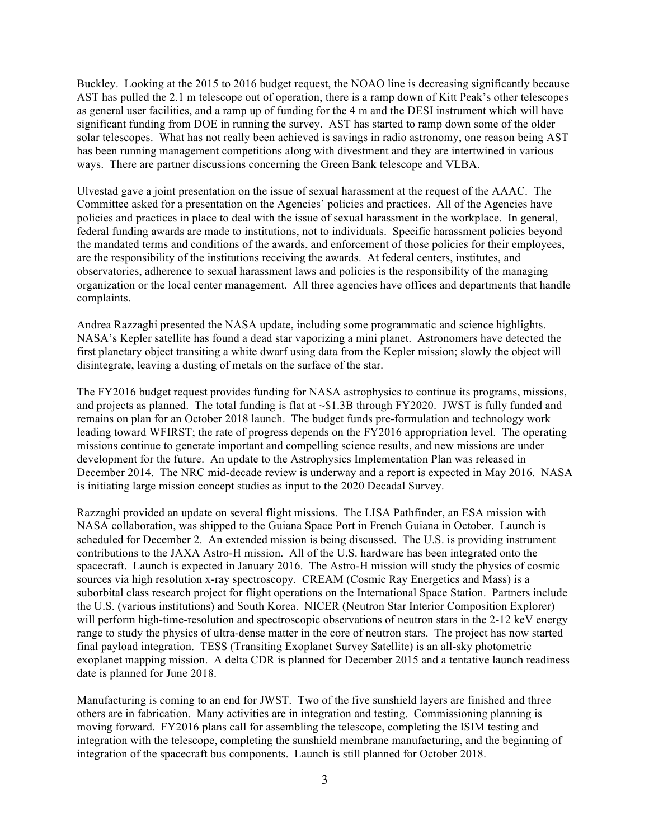Buckley. Looking at the 2015 to 2016 budget request, the NOAO line is decreasing significantly because AST has pulled the 2.1 m telescope out of operation, there is a ramp down of Kitt Peak's other telescopes as general user facilities, and a ramp up of funding for the 4 m and the DESI instrument which will have significant funding from DOE in running the survey. AST has started to ramp down some of the older solar telescopes. What has not really been achieved is savings in radio astronomy, one reason being AST has been running management competitions along with divestment and they are intertwined in various ways. There are partner discussions concerning the Green Bank telescope and VLBA.

Ulvestad gave a joint presentation on the issue of sexual harassment at the request of the AAAC. The Committee asked for a presentation on the Agencies' policies and practices. All of the Agencies have policies and practices in place to deal with the issue of sexual harassment in the workplace. In general, federal funding awards are made to institutions, not to individuals. Specific harassment policies beyond the mandated terms and conditions of the awards, and enforcement of those policies for their employees, are the responsibility of the institutions receiving the awards. At federal centers, institutes, and observatories, adherence to sexual harassment laws and policies is the responsibility of the managing organization or the local center management. All three agencies have offices and departments that handle complaints.

Andrea Razzaghi presented the NASA update, including some programmatic and science highlights. NASA's Kepler satellite has found a dead star vaporizing a mini planet. Astronomers have detected the first planetary object transiting a white dwarf using data from the Kepler mission; slowly the object will disintegrate, leaving a dusting of metals on the surface of the star.

The FY2016 budget request provides funding for NASA astrophysics to continue its programs, missions, and projects as planned. The total funding is flat at  $\sim$ \$1.3B through FY2020. JWST is fully funded and remains on plan for an October 2018 launch. The budget funds pre-formulation and technology work leading toward WFIRST; the rate of progress depends on the FY2016 appropriation level. The operating missions continue to generate important and compelling science results, and new missions are under development for the future. An update to the Astrophysics Implementation Plan was released in December 2014. The NRC mid-decade review is underway and a report is expected in May 2016. NASA is initiating large mission concept studies as input to the 2020 Decadal Survey.

Razzaghi provided an update on several flight missions. The LISA Pathfinder, an ESA mission with NASA collaboration, was shipped to the Guiana Space Port in French Guiana in October. Launch is scheduled for December 2. An extended mission is being discussed. The U.S. is providing instrument contributions to the JAXA Astro-H mission. All of the U.S. hardware has been integrated onto the spacecraft. Launch is expected in January 2016. The Astro-H mission will study the physics of cosmic sources via high resolution x-ray spectroscopy. CREAM (Cosmic Ray Energetics and Mass) is a suborbital class research project for flight operations on the International Space Station. Partners include the U.S. (various institutions) and South Korea. NICER (Neutron Star Interior Composition Explorer) will perform high-time-resolution and spectroscopic observations of neutron stars in the 2-12 keV energy range to study the physics of ultra-dense matter in the core of neutron stars. The project has now started final payload integration. TESS (Transiting Exoplanet Survey Satellite) is an all-sky photometric exoplanet mapping mission. A delta CDR is planned for December 2015 and a tentative launch readiness date is planned for June 2018.

Manufacturing is coming to an end for JWST. Two of the five sunshield layers are finished and three others are in fabrication. Many activities are in integration and testing. Commissioning planning is moving forward. FY2016 plans call for assembling the telescope, completing the ISIM testing and integration with the telescope, completing the sunshield membrane manufacturing, and the beginning of integration of the spacecraft bus components. Launch is still planned for October 2018.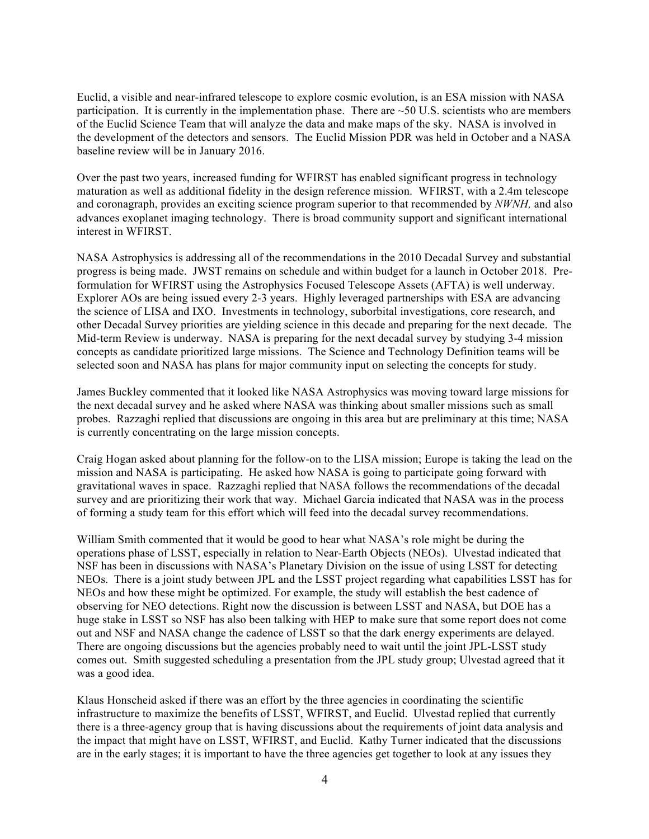Euclid, a visible and near-infrared telescope to explore cosmic evolution, is an ESA mission with NASA participation. It is currently in the implementation phase. There are  $\sim$  50 U.S. scientists who are members of the Euclid Science Team that will analyze the data and make maps of the sky. NASA is involved in the development of the detectors and sensors. The Euclid Mission PDR was held in October and a NASA baseline review will be in January 2016.

Over the past two years, increased funding for WFIRST has enabled significant progress in technology maturation as well as additional fidelity in the design reference mission. WFIRST, with a 2.4m telescope and coronagraph, provides an exciting science program superior to that recommended by *NWNH,* and also advances exoplanet imaging technology. There is broad community support and significant international interest in WFIRST.

NASA Astrophysics is addressing all of the recommendations in the 2010 Decadal Survey and substantial progress is being made. JWST remains on schedule and within budget for a launch in October 2018. Preformulation for WFIRST using the Astrophysics Focused Telescope Assets (AFTA) is well underway. Explorer AOs are being issued every 2-3 years. Highly leveraged partnerships with ESA are advancing the science of LISA and IXO. Investments in technology, suborbital investigations, core research, and other Decadal Survey priorities are yielding science in this decade and preparing for the next decade. The Mid-term Review is underway. NASA is preparing for the next decadal survey by studying 3-4 mission concepts as candidate prioritized large missions. The Science and Technology Definition teams will be selected soon and NASA has plans for major community input on selecting the concepts for study.

James Buckley commented that it looked like NASA Astrophysics was moving toward large missions for the next decadal survey and he asked where NASA was thinking about smaller missions such as small probes. Razzaghi replied that discussions are ongoing in this area but are preliminary at this time; NASA is currently concentrating on the large mission concepts.

Craig Hogan asked about planning for the follow-on to the LISA mission; Europe is taking the lead on the mission and NASA is participating. He asked how NASA is going to participate going forward with gravitational waves in space. Razzaghi replied that NASA follows the recommendations of the decadal survey and are prioritizing their work that way. Michael Garcia indicated that NASA was in the process of forming a study team for this effort which will feed into the decadal survey recommendations.

William Smith commented that it would be good to hear what NASA's role might be during the operations phase of LSST, especially in relation to Near-Earth Objects (NEOs). Ulvestad indicated that NSF has been in discussions with NASA's Planetary Division on the issue of using LSST for detecting NEOs. There is a joint study between JPL and the LSST project regarding what capabilities LSST has for NEOs and how these might be optimized. For example, the study will establish the best cadence of observing for NEO detections. Right now the discussion is between LSST and NASA, but DOE has a huge stake in LSST so NSF has also been talking with HEP to make sure that some report does not come out and NSF and NASA change the cadence of LSST so that the dark energy experiments are delayed. There are ongoing discussions but the agencies probably need to wait until the joint JPL-LSST study comes out. Smith suggested scheduling a presentation from the JPL study group; Ulvestad agreed that it was a good idea.

Klaus Honscheid asked if there was an effort by the three agencies in coordinating the scientific infrastructure to maximize the benefits of LSST, WFIRST, and Euclid. Ulvestad replied that currently there is a three-agency group that is having discussions about the requirements of joint data analysis and the impact that might have on LSST, WFIRST, and Euclid. Kathy Turner indicated that the discussions are in the early stages; it is important to have the three agencies get together to look at any issues they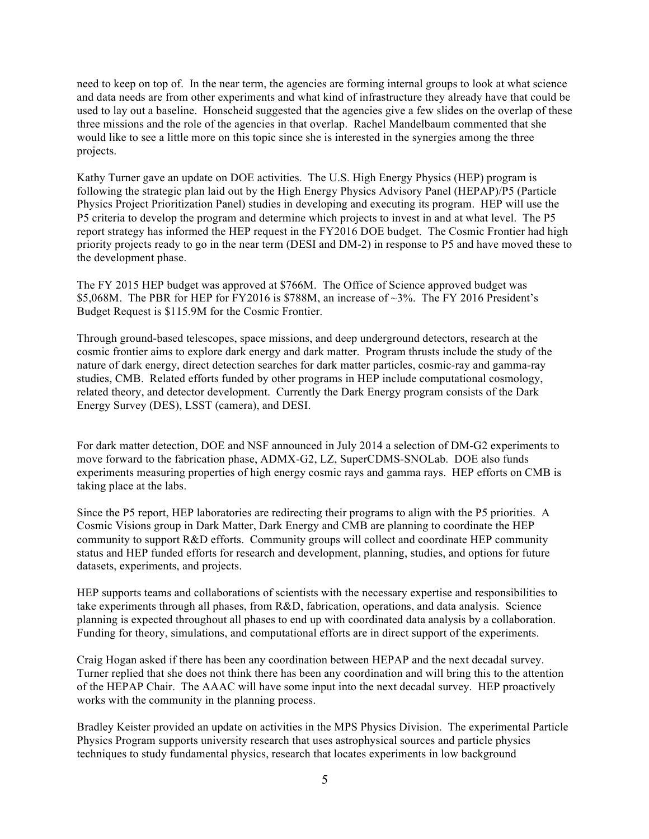need to keep on top of. In the near term, the agencies are forming internal groups to look at what science and data needs are from other experiments and what kind of infrastructure they already have that could be used to lay out a baseline. Honscheid suggested that the agencies give a few slides on the overlap of these three missions and the role of the agencies in that overlap. Rachel Mandelbaum commented that she would like to see a little more on this topic since she is interested in the synergies among the three projects.

Kathy Turner gave an update on DOE activities. The U.S. High Energy Physics (HEP) program is following the strategic plan laid out by the High Energy Physics Advisory Panel (HEPAP)/P5 (Particle Physics Project Prioritization Panel) studies in developing and executing its program. HEP will use the P5 criteria to develop the program and determine which projects to invest in and at what level. The P5 report strategy has informed the HEP request in the FY2016 DOE budget. The Cosmic Frontier had high priority projects ready to go in the near term (DESI and DM-2) in response to P5 and have moved these to the development phase.

The FY 2015 HEP budget was approved at \$766M. The Office of Science approved budget was \$5,068M. The PBR for HEP for FY2016 is \$788M, an increase of ~3%. The FY 2016 President's Budget Request is \$115.9M for the Cosmic Frontier.

Through ground-based telescopes, space missions, and deep underground detectors, research at the cosmic frontier aims to explore dark energy and dark matter. Program thrusts include the study of the nature of dark energy, direct detection searches for dark matter particles, cosmic-ray and gamma-ray studies, CMB. Related efforts funded by other programs in HEP include computational cosmology, related theory, and detector development. Currently the Dark Energy program consists of the Dark Energy Survey (DES), LSST (camera), and DESI.

For dark matter detection, DOE and NSF announced in July 2014 a selection of DM-G2 experiments to move forward to the fabrication phase, ADMX-G2, LZ, SuperCDMS-SNOLab. DOE also funds experiments measuring properties of high energy cosmic rays and gamma rays. HEP efforts on CMB is taking place at the labs.

Since the P5 report, HEP laboratories are redirecting their programs to align with the P5 priorities. A Cosmic Visions group in Dark Matter, Dark Energy and CMB are planning to coordinate the HEP community to support R&D efforts. Community groups will collect and coordinate HEP community status and HEP funded efforts for research and development, planning, studies, and options for future datasets, experiments, and projects.

HEP supports teams and collaborations of scientists with the necessary expertise and responsibilities to take experiments through all phases, from R&D, fabrication, operations, and data analysis. Science planning is expected throughout all phases to end up with coordinated data analysis by a collaboration. Funding for theory, simulations, and computational efforts are in direct support of the experiments.

Craig Hogan asked if there has been any coordination between HEPAP and the next decadal survey. Turner replied that she does not think there has been any coordination and will bring this to the attention of the HEPAP Chair. The AAAC will have some input into the next decadal survey. HEP proactively works with the community in the planning process.

Bradley Keister provided an update on activities in the MPS Physics Division. The experimental Particle Physics Program supports university research that uses astrophysical sources and particle physics techniques to study fundamental physics, research that locates experiments in low background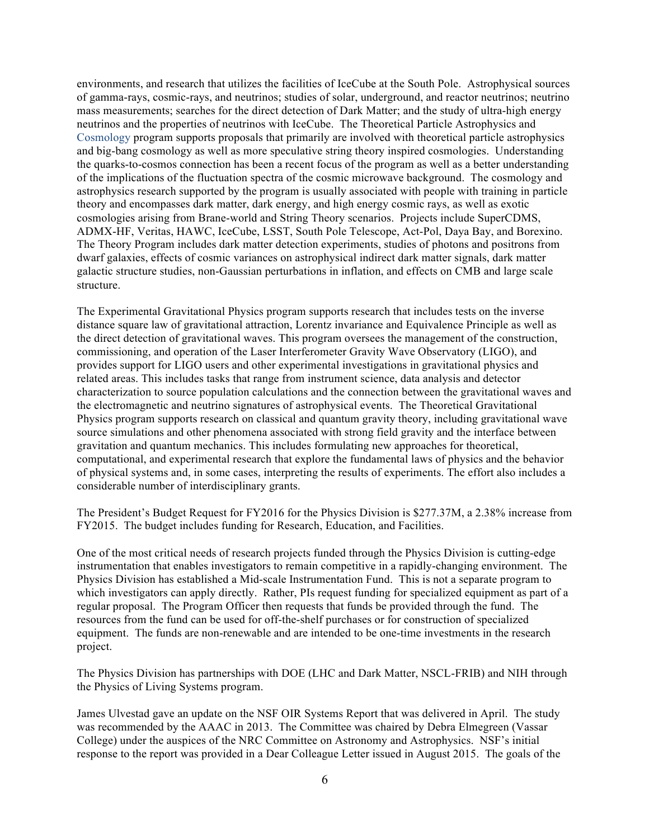environments, and research that utilizes the facilities of IceCube at the South Pole. Astrophysical sources of gamma-rays, cosmic-rays, and neutrinos; studies of solar, underground, and reactor neutrinos; neutrino mass measurements; searches for the direct detection of Dark Matter; and the study of ultra-high energy neutrinos and the properties of neutrinos with IceCube. The Theoretical Particle Astrophysics and Cosmology program supports proposals that primarily are involved with theoretical particle astrophysics and big-bang cosmology as well as more speculative string theory inspired cosmologies. Understanding the quarks-to-cosmos connection has been a recent focus of the program as well as a better understanding of the implications of the fluctuation spectra of the cosmic microwave background. The cosmology and astrophysics research supported by the program is usually associated with people with training in particle theory and encompasses dark matter, dark energy, and high energy cosmic rays, as well as exotic cosmologies arising from Brane-world and String Theory scenarios. Projects include SuperCDMS, ADMX-HF, Veritas, HAWC, IceCube, LSST, South Pole Telescope, Act-Pol, Daya Bay, and Borexino. The Theory Program includes dark matter detection experiments, studies of photons and positrons from dwarf galaxies, effects of cosmic variances on astrophysical indirect dark matter signals, dark matter galactic structure studies, non-Gaussian perturbations in inflation, and effects on CMB and large scale structure.

The Experimental Gravitational Physics program supports research that includes tests on the inverse distance square law of gravitational attraction, Lorentz invariance and Equivalence Principle as well as the direct detection of gravitational waves. This program oversees the management of the construction, commissioning, and operation of the Laser Interferometer Gravity Wave Observatory (LIGO), and provides support for LIGO users and other experimental investigations in gravitational physics and related areas. This includes tasks that range from instrument science, data analysis and detector characterization to source population calculations and the connection between the gravitational waves and the electromagnetic and neutrino signatures of astrophysical events. The Theoretical Gravitational Physics program supports research on classical and quantum gravity theory, including gravitational wave source simulations and other phenomena associated with strong field gravity and the interface between gravitation and quantum mechanics. This includes formulating new approaches for theoretical, computational, and experimental research that explore the fundamental laws of physics and the behavior of physical systems and, in some cases, interpreting the results of experiments. The effort also includes a considerable number of interdisciplinary grants.

The President's Budget Request for FY2016 for the Physics Division is \$277.37M, a 2.38% increase from FY2015. The budget includes funding for Research, Education, and Facilities.

One of the most critical needs of research projects funded through the Physics Division is cutting-edge instrumentation that enables investigators to remain competitive in a rapidly-changing environment. The Physics Division has established a Mid-scale Instrumentation Fund. This is not a separate program to which investigators can apply directly. Rather, PIs request funding for specialized equipment as part of a regular proposal. The Program Officer then requests that funds be provided through the fund. The resources from the fund can be used for off-the-shelf purchases or for construction of specialized equipment. The funds are non-renewable and are intended to be one-time investments in the research project.

The Physics Division has partnerships with DOE (LHC and Dark Matter, NSCL-FRIB) and NIH through the Physics of Living Systems program.

James Ulvestad gave an update on the NSF OIR Systems Report that was delivered in April. The study was recommended by the AAAC in 2013. The Committee was chaired by Debra Elmegreen (Vassar College) under the auspices of the NRC Committee on Astronomy and Astrophysics. NSF's initial response to the report was provided in a Dear Colleague Letter issued in August 2015. The goals of the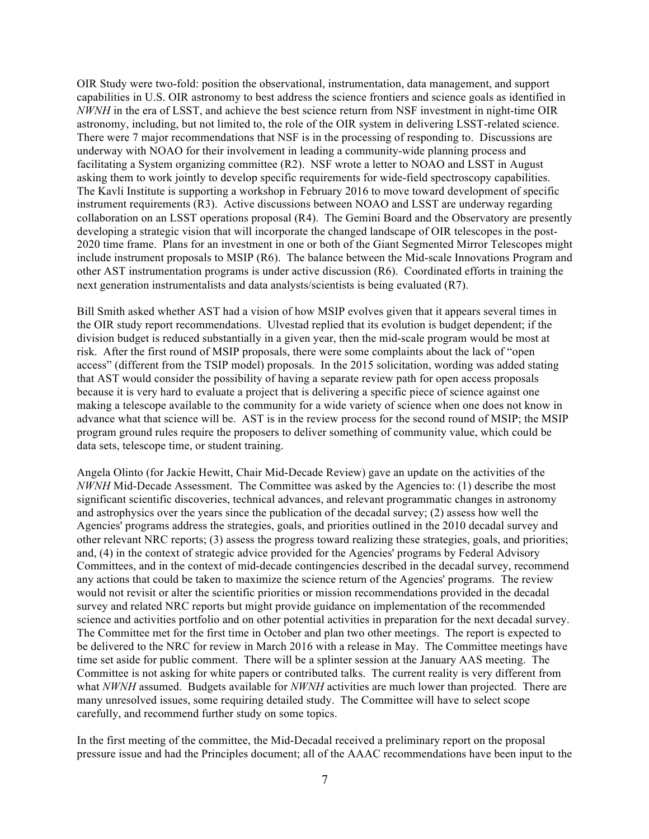OIR Study were two-fold: position the observational, instrumentation, data management, and support capabilities in U.S. OIR astronomy to best address the science frontiers and science goals as identified in *NWNH* in the era of LSST, and achieve the best science return from NSF investment in night-time OIR astronomy, including, but not limited to, the role of the OIR system in delivering LSST-related science. There were 7 major recommendations that NSF is in the processing of responding to. Discussions are underway with NOAO for their involvement in leading a community-wide planning process and facilitating a System organizing committee (R2). NSF wrote a letter to NOAO and LSST in August asking them to work jointly to develop specific requirements for wide-field spectroscopy capabilities. The Kavli Institute is supporting a workshop in February 2016 to move toward development of specific instrument requirements (R3). Active discussions between NOAO and LSST are underway regarding collaboration on an LSST operations proposal (R4). The Gemini Board and the Observatory are presently developing a strategic vision that will incorporate the changed landscape of OIR telescopes in the post-2020 time frame. Plans for an investment in one or both of the Giant Segmented Mirror Telescopes might include instrument proposals to MSIP (R6). The balance between the Mid-scale Innovations Program and other AST instrumentation programs is under active discussion (R6). Coordinated efforts in training the next generation instrumentalists and data analysts/scientists is being evaluated (R7).

Bill Smith asked whether AST had a vision of how MSIP evolves given that it appears several times in the OIR study report recommendations. Ulvestad replied that its evolution is budget dependent; if the division budget is reduced substantially in a given year, then the mid-scale program would be most at risk. After the first round of MSIP proposals, there were some complaints about the lack of "open access" (different from the TSIP model) proposals. In the 2015 solicitation, wording was added stating that AST would consider the possibility of having a separate review path for open access proposals because it is very hard to evaluate a project that is delivering a specific piece of science against one making a telescope available to the community for a wide variety of science when one does not know in advance what that science will be. AST is in the review process for the second round of MSIP; the MSIP program ground rules require the proposers to deliver something of community value, which could be data sets, telescope time, or student training.

Angela Olinto (for Jackie Hewitt, Chair Mid-Decade Review) gave an update on the activities of the *NWNH* Mid-Decade Assessment. The Committee was asked by the Agencies to: (1) describe the most significant scientific discoveries, technical advances, and relevant programmatic changes in astronomy and astrophysics over the years since the publication of the decadal survey; (2) assess how well the Agencies' programs address the strategies, goals, and priorities outlined in the 2010 decadal survey and other relevant NRC reports; (3) assess the progress toward realizing these strategies, goals, and priorities; and, (4) in the context of strategic advice provided for the Agencies' programs by Federal Advisory Committees, and in the context of mid-decade contingencies described in the decadal survey, recommend any actions that could be taken to maximize the science return of the Agencies' programs. The review would not revisit or alter the scientific priorities or mission recommendations provided in the decadal survey and related NRC reports but might provide guidance on implementation of the recommended science and activities portfolio and on other potential activities in preparation for the next decadal survey. The Committee met for the first time in October and plan two other meetings. The report is expected to be delivered to the NRC for review in March 2016 with a release in May. The Committee meetings have time set aside for public comment. There will be a splinter session at the January AAS meeting. The Committee is not asking for white papers or contributed talks. The current reality is very different from what *NWNH* assumed. Budgets available for *NWNH* activities are much lower than projected. There are many unresolved issues, some requiring detailed study. The Committee will have to select scope carefully, and recommend further study on some topics.

In the first meeting of the committee, the Mid-Decadal received a preliminary report on the proposal pressure issue and had the Principles document; all of the AAAC recommendations have been input to the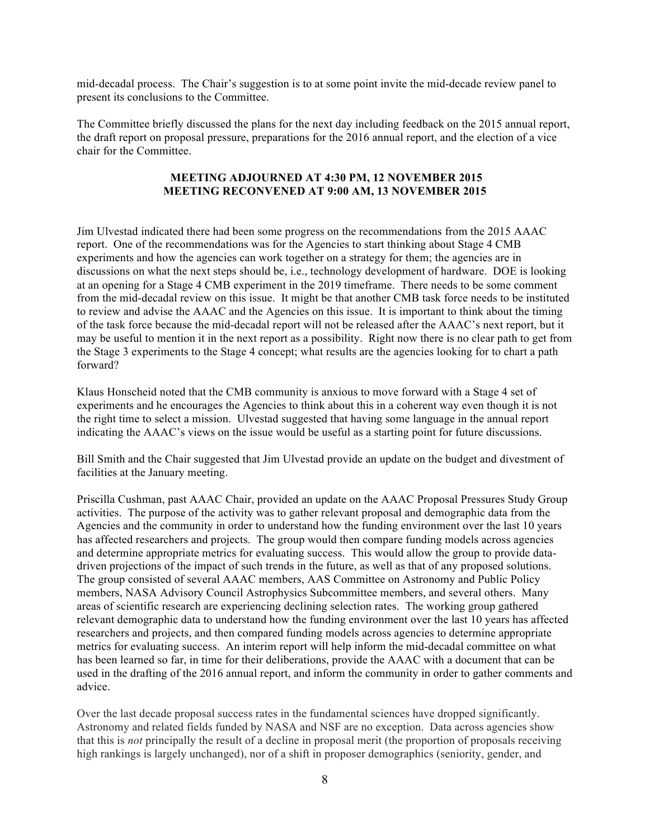mid-decadal process. The Chair's suggestion is to at some point invite the mid-decade review panel to present its conclusions to the Committee.

The Committee briefly discussed the plans for the next day including feedback on the 2015 annual report, the draft report on proposal pressure, preparations for the 2016 annual report, and the election of a vice chair for the Committee.

## **MEETING ADJOURNED AT 4:30 PM, 12 NOVEMBER 2015 MEETING RECONVENED AT 9:00 AM, 13 NOVEMBER 2015**

Jim Ulvestad indicated there had been some progress on the recommendations from the 2015 AAAC report. One of the recommendations was for the Agencies to start thinking about Stage 4 CMB experiments and how the agencies can work together on a strategy for them; the agencies are in discussions on what the next steps should be, i.e., technology development of hardware. DOE is looking at an opening for a Stage 4 CMB experiment in the 2019 timeframe. There needs to be some comment from the mid-decadal review on this issue. It might be that another CMB task force needs to be instituted to review and advise the AAAC and the Agencies on this issue. It is important to think about the timing of the task force because the mid-decadal report will not be released after the AAAC's next report, but it may be useful to mention it in the next report as a possibility. Right now there is no clear path to get from the Stage 3 experiments to the Stage 4 concept; what results are the agencies looking for to chart a path forward?

Klaus Honscheid noted that the CMB community is anxious to move forward with a Stage 4 set of experiments and he encourages the Agencies to think about this in a coherent way even though it is not the right time to select a mission. Ulvestad suggested that having some language in the annual report indicating the AAAC's views on the issue would be useful as a starting point for future discussions.

Bill Smith and the Chair suggested that Jim Ulvestad provide an update on the budget and divestment of facilities at the January meeting.

Priscilla Cushman, past AAAC Chair, provided an update on the AAAC Proposal Pressures Study Group activities. The purpose of the activity was to gather relevant proposal and demographic data from the Agencies and the community in order to understand how the funding environment over the last 10 years has affected researchers and projects. The group would then compare funding models across agencies and determine appropriate metrics for evaluating success. This would allow the group to provide datadriven projections of the impact of such trends in the future, as well as that of any proposed solutions. The group consisted of several AAAC members, AAS Committee on Astronomy and Public Policy members, NASA Advisory Council Astrophysics Subcommittee members, and several others. Many areas of scientific research are experiencing declining selection rates. The working group gathered relevant demographic data to understand how the funding environment over the last 10 years has affected researchers and projects, and then compared funding models across agencies to determine appropriate metrics for evaluating success. An interim report will help inform the mid-decadal committee on what has been learned so far, in time for their deliberations, provide the AAAC with a document that can be used in the drafting of the 2016 annual report, and inform the community in order to gather comments and advice.

Over the last decade proposal success rates in the fundamental sciences have dropped significantly. Astronomy and related fields funded by NASA and NSF are no exception. Data across agencies show that this is *not* principally the result of a decline in proposal merit (the proportion of proposals receiving high rankings is largely unchanged), nor of a shift in proposer demographics (seniority, gender, and